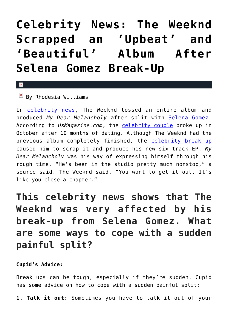## **[Celebrity News: The Weeknd](https://cupidspulse.com/124799/the-weeknd-scrapped-album-after-celebrity-break-up-selena-gomez/) [Scrapped an 'Upbeat' and](https://cupidspulse.com/124799/the-weeknd-scrapped-album-after-celebrity-break-up-selena-gomez/) ['Beautiful' Album After](https://cupidspulse.com/124799/the-weeknd-scrapped-album-after-celebrity-break-up-selena-gomez/) [Selena Gomez Break-Up](https://cupidspulse.com/124799/the-weeknd-scrapped-album-after-celebrity-break-up-selena-gomez/)**

## $\vert \mathbf{x} \vert$

 $\boxed{\times}$  By Rhodesia Williams

In [celebrity news](http://www.cupidspulse.com), The Weeknd tossed an entire album and produced *My Dear Melancholy* after split with [Selena Gomez.](http://cupidspulse.com/89073/selena-gomez/) According to *UsMagazine.com*, the [celebrity couple](http://cupidspulse.com/celebrity-news/celebrity-dating/) broke up in October after 10 months of dating. Although The Weeknd had the previous album completely finished, the [celebrity break up](http://cupidspulse.com/celebrity-relationships/break-up-divorce/) caused him to scrap it and produce his new six track EP. *My Dear Melancholy* was his way of expressing himself through his rough time. "He's been in the studio pretty much nonstop," a source said. The Weeknd said, "You want to get it out. It's like you close a chapter."

## **This celebrity news shows that The Weeknd was very affected by his break-up from Selena Gomez. What are some ways to cope with a sudden painful split?**

**Cupid's Advice:**

Break ups can be tough, especially if they're sudden. Cupid has some advice on how to cope with a sudden painful split:

**1. Talk it out:** Sometimes you have to talk it out of your